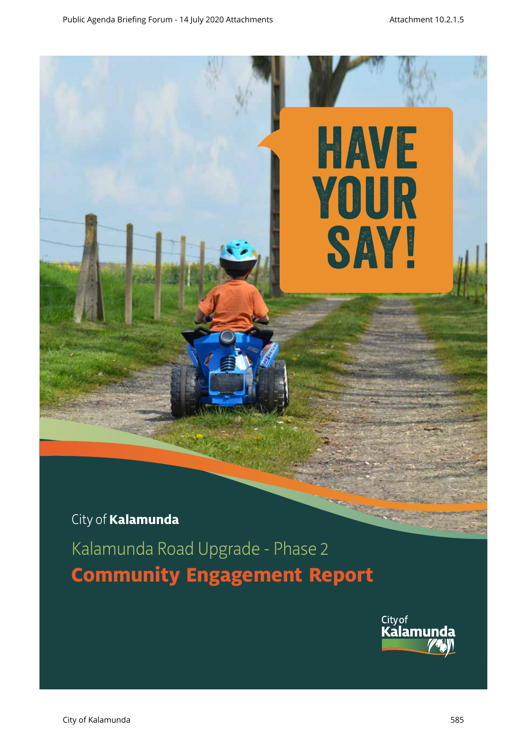

**Community Engagement Report**

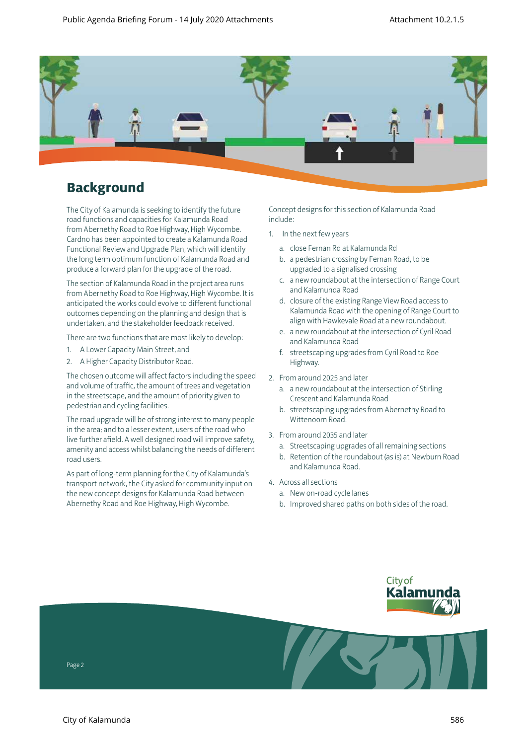

## **Background**

The City of Kalamunda is seeking to identify the future road functions and capacities for Kalamunda Road from Abernethy Road to Roe Highway, High Wycombe. Cardno has been appointed to create a Kalamunda Road Functional Review and Upgrade Plan, which will identify the long term optimum function of Kalamunda Road and produce a forward plan for the upgrade of the road.

The section of Kalamunda Road in the project area runs from Abernethy Road to Roe Highway, High Wycombe. It is anticipated the works could evolve to different functional outcomes depending on the planning and design that is undertaken, and the stakeholder feedback received.

There are two functions that are most likely to develop:

- 1. A Lower Capacity Main Street, and
- 2. A Higher Capacity Distributor Road.

The chosen outcome will affect factors including the speed and volume of traffic, the amount of trees and vegetation in the streetscape, and the amount of priority given to pedestrian and cycling facilities.

The road upgrade will be of strong interest to many people in the area; and to a lesser extent, users of the road who live further afield. A well designed road will improve safety, amenity and access whilst balancing the needs of different road users.

As part of long-term planning for the City of Kalamunda's transport network, the City asked for community input on the new concept designs for Kalamunda Road between Abernethy Road and Roe Highway, High Wycombe.

Concept designs for this section of Kalamunda Road include:

- 1. In the next few years
	- a. close Fernan Rd at Kalamunda Rd
	- b. a pedestrian crossing by Fernan Road, to be upgraded to a signalised crossing
	- c. a new roundabout at the intersection of Range Court and Kalamunda Road
	- d. closure of the existing Range View Road access to Kalamunda Road with the opening of Range Court to align with Hawkevale Road at a new roundabout.
	- e. a new roundabout at the intersection of Cyril Road and Kalamunda Road
	- f. streetscaping upgrades from Cyril Road to Roe Highway.
- 2. From around 2025 and later
	- a. a new roundabout at the intersection of Stirling Crescent and Kalamunda Road
	- b. streetscaping upgrades from Abernethy Road to Wittenoom Road.
- 3. From around 2035 and later
	- a. Streetscaping upgrades of all remaining sections
	- b. Retention of the roundabout (as is) at Newburn Road and Kalamunda Road.
- 4. Across all sections
	- a. New on-road cycle lanes
	- b. Improved shared paths on both sides of the road.

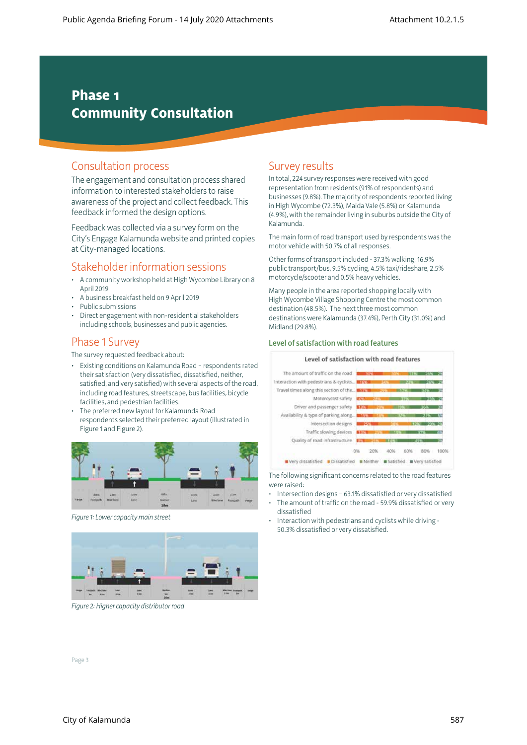## **Phase 1 Community Consultation**

### Consultation process

The engagement and consultation process shared information to interested stakeholders to raise awareness of the project and collect feedback. This feedback informed the design options.

Feedback was collected via a survey form on the City's Engage Kalamunda website and printed copies at City-managed locations.

### Stakeholder information sessions

- A community workshop held at High Wycombe Library on 8 April 2019
- A business breakfast held on 9 April 2019
- Public submissions
- Direct engagement with non-residential stakeholders including schools, businesses and public agencies.

### Phase 1 Survey

The survey requested feedback about:

- Existing conditions on Kalamunda Road respondents rated their satisfaction (very dissatisfied, dissatisfied, neither, satisfied, and very satisfied) with several aspects of the road, including road features, streetscape, bus facilities, bicycle facilities, and pedestrian facilities.
- The preferred new layout for Kalamunda Road respondents selected their preferred layout (illustrated in Figure 1 and Figure 2).



*Figure 1: Lower capacity main street*



*Figure 2: Higher capacity distributor road*

## Survey results

In total, 224 survey responses were received with good representation from residents (91% of respondents) and businesses (9.8%). The majority of respondents reported living in High Wycombe (72.3%), Maida Vale (5.8%) or Kalamunda (4.9%), with the remainder living in suburbs outside the City of Kalamunda.

The main form of road transport used by respondents was the motor vehicle with 50.7% of all responses.

Other forms of transport included - 37.3% walking, 16.9% public transport/bus, 9.5% cycling, 4.5% taxi/rideshare, 2.5% motorcycle/scooter and 0.5% heavy vehicles.

Many people in the area reported shopping locally with High Wycombe Village Shopping Centre the most common destination (48.5%). The next three most common destinations were Kalamunda (37.4%), Perth City (31.0%) and Midland (29.8%).

#### Level of satisfaction with road features

#### Level of satisfaction with road features



The following significant concerns related to the road features were raised:

- Intersection designs 63.1% dissatisfied or very dissatisfied The amount of traffic on the road - 59.9% dissatisfied or very
- dissatisfied • Interaction with pedestrians and cyclists while driving -

50.3% dissatisfied or very dissatisfied.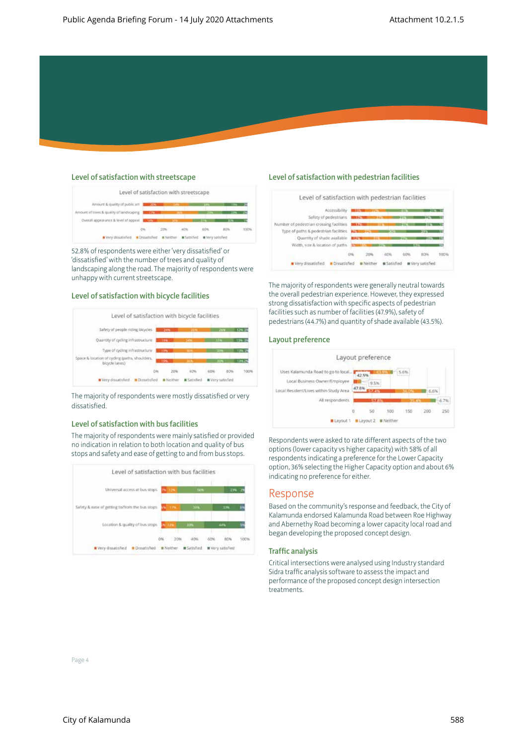#### Level of satisfaction with streetscape

|                                          | Level of satisfaction with streetscape<br>2) - 2008년 전쟁 : 공사 1, 2013년 개발 사이트 전 2019년 10월 10일 |      |                  |     |  |
|------------------------------------------|----------------------------------------------------------------------------------------------|------|------------------|-----|--|
| Amount & quality of public art           |                                                                                              |      |                  |     |  |
| Amount of trees & quality of landscaping | 3,798                                                                                        |      |                  |     |  |
| Overall appearance & level of appeal     | <b>TIM</b>                                                                                   |      |                  |     |  |
|                                          |                                                                                              | -20% |                  | 60% |  |
| Very dissatisfied                        | Doutstriffed                                                                                 |      | # Very satisfied |     |  |

52.8% of respondents were either 'very dissatisfied' or 'dissatisfied' with the number of trees and quality of landscaping along the road. The majority of respondents were unhappy with current streetscape.

#### Level of satisfaction with bicycle facilities



The majority of respondents were mostly dissatisfied or very dissatisfied.

#### Level of satisfaction with bus facilities

The majority of respondents were mainly satisfied or provided no indication in relation to both location and quality of bus stops and safety and ease of getting to and from bus stops.



#### Level of satisfaction with pedestrian facilities



The majority of respondents were generally neutral towards the overall pedestrian experience. However, they expressed strong dissatisfaction with specific aspects of pedestrian facilities such as number of facilities (47.9%), safety of pedestrians (44.7%) and quantity of shade available (43.5%).

#### Layout preference



Respondents were asked to rate different aspects of the two options (lower capacity vs higher capacity) with 58% of all respondents indicating a preference for the Lower Capacity option, 36% selecting the Higher Capacity option and about 6% indicating no preference for either.

#### Response

Based on the community's response and feedback, the City of Kalamunda endorsed Kalamunda Road between Roe Highway and Abernethy Road becoming a lower capacity local road and began developing the proposed concept design.

#### Traffic analysis

Critical intersections were analysed using Industry standard Sidra traffic analysis software to assess the impact and performance of the proposed concept design intersection treatments.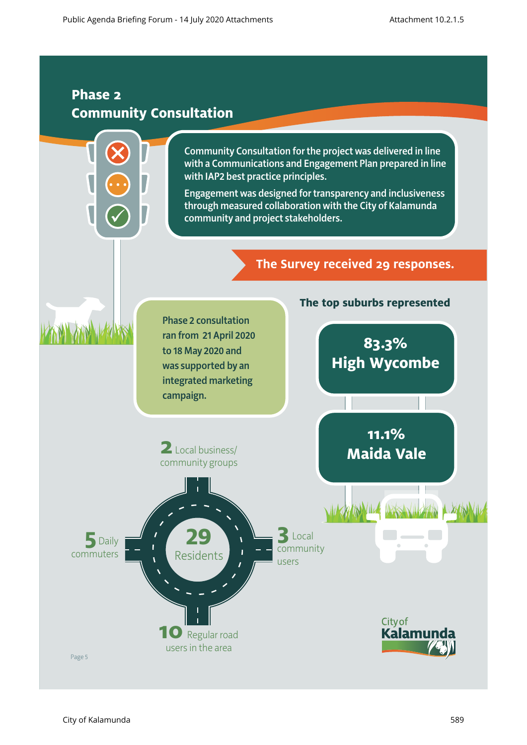## **Phase 2 Community Consultation**

Community Consultation for the project was delivered in line with a Communications and Engagement Plan prepared in line with IAP2 best practice principles.

Engagement was designed for transparency and inclusiveness through measured collaboration with the City of Kalamunda community and project stakeholders.

## **The Survey received 29 responses.**

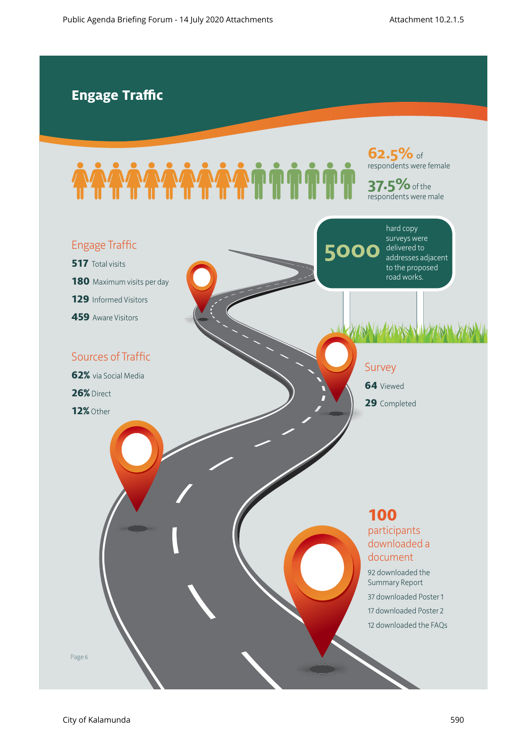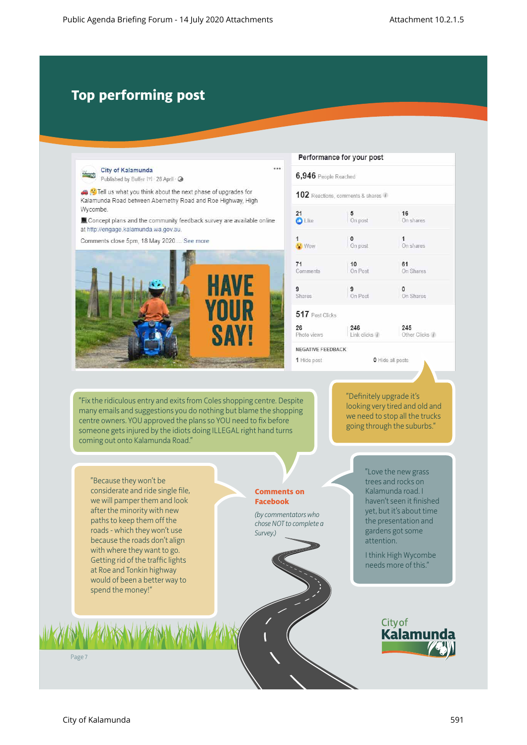# **Top performing post**

| Published by Buffer [?] · 28 April · @                                                                                                                                                                                                                                                                                                                                           | 0.0.0<br>6,946 People Reached                                                                        |                                  |                                                                                                                                                                                                                    |
|----------------------------------------------------------------------------------------------------------------------------------------------------------------------------------------------------------------------------------------------------------------------------------------------------------------------------------------------------------------------------------|------------------------------------------------------------------------------------------------------|----------------------------------|--------------------------------------------------------------------------------------------------------------------------------------------------------------------------------------------------------------------|
| Tell us what you think about the next phase of upgrades for<br>Kalamunda Road between Abernethy Road and Roe Highway, High<br>Wycombe.                                                                                                                                                                                                                                           |                                                                                                      | 102 Reactions, comments & shares |                                                                                                                                                                                                                    |
| Concept plans and the community feedback survey are available online<br>at http://engage.kalamunda.wa.gov.au.                                                                                                                                                                                                                                                                    | 21<br><b>O</b> Like                                                                                  | 5<br>On post                     | 16<br>On shares                                                                                                                                                                                                    |
| Comments close 5pm, 18 May 2020 See more                                                                                                                                                                                                                                                                                                                                         | 1<br><b>Wow</b>                                                                                      | 0<br>On post                     | 1<br>On shares                                                                                                                                                                                                     |
|                                                                                                                                                                                                                                                                                                                                                                                  | 71<br>Comments                                                                                       | 10<br>On Post                    | 61<br>On Shares                                                                                                                                                                                                    |
| <b>HAVE</b>                                                                                                                                                                                                                                                                                                                                                                      | 9<br><b>Shares</b>                                                                                   | 9<br>On Post                     | $^{\circ}$<br>On Shares                                                                                                                                                                                            |
| YOUR                                                                                                                                                                                                                                                                                                                                                                             | 517 Post Clicks                                                                                      |                                  |                                                                                                                                                                                                                    |
| <b>SAYI</b>                                                                                                                                                                                                                                                                                                                                                                      | 26<br>Photo views                                                                                    | 246<br>Link clicks 1             | 245<br>Other Clicks /                                                                                                                                                                                              |
|                                                                                                                                                                                                                                                                                                                                                                                  | <b>NEGATIVE FEEDBACK</b>                                                                             |                                  |                                                                                                                                                                                                                    |
|                                                                                                                                                                                                                                                                                                                                                                                  |                                                                                                      | "Definitely upgrade it's         |                                                                                                                                                                                                                    |
| "Fix the ridiculous entry and exits from Coles shopping centre. Despite<br>many emails and suggestions you do nothing but blame the shopping<br>centre owners. YOU approved the plans so YOU need to fix before<br>someone gets injured by the idiots doing ILLEGAL right hand turns<br>coming out onto Kalamunda Road."                                                         |                                                                                                      |                                  | looking very tired and old and<br>we need to stop all the trucks<br>going through the suburbs."                                                                                                                    |
| "Because they won't be<br>considerate and ride single file,<br>we will pamper them and look<br>after the minority with new<br>paths to keep them off the<br>roads - which they won't use<br>because the roads don't align<br>with where they want to go.<br>Getting rid of the traffic lights<br>at Roe and Tonkin highway<br>would of been a better way to<br>spend the money!" | <b>Comments on</b><br><b>Facebook</b><br>(by commentators who<br>chose NOT to complete a<br>Survey.) | attention.                       | "Love the new grass<br>trees and rocks on<br>Kalamunda road. I<br>haven't seen it finished<br>yet, but it's about time<br>the presentation and<br>gardens got some<br>I think High Wycombe<br>needs more of this." |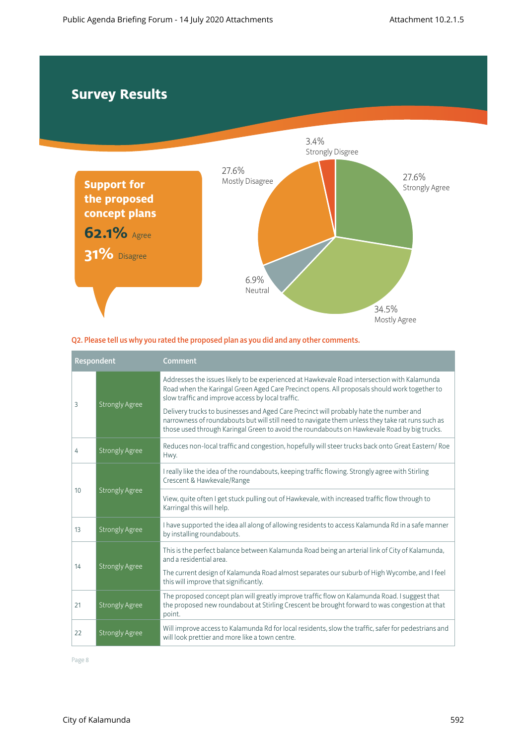## **Survey Results**



#### Q2. Please tell us why you rated the proposed plan as you did and any other comments.

| Respondent |                       | Comment                                                                                                                                                                                                                                                                                   |
|------------|-----------------------|-------------------------------------------------------------------------------------------------------------------------------------------------------------------------------------------------------------------------------------------------------------------------------------------|
| 3          | <b>Strongly Agree</b> | Addresses the issues likely to be experienced at Hawkevale Road intersection with Kalamunda<br>Road when the Karingal Green Aged Care Precinct opens. All proposals should work together to<br>slow traffic and improve access by local traffic.                                          |
|            |                       | Delivery trucks to businesses and Aged Care Precinct will probably hate the number and<br>narrowness of roundabouts but will still need to navigate them unless they take rat runs such as<br>those used through Karingal Green to avoid the roundabouts on Hawkevale Road by big trucks. |
| 4          | <b>Strongly Agree</b> | Reduces non-local traffic and congestion, hopefully will steer trucks back onto Great Eastern/Roe<br>Hwy.                                                                                                                                                                                 |
| 10         | <b>Strongly Agree</b> | I really like the idea of the roundabouts, keeping traffic flowing. Strongly agree with Stirling<br>Crescent & Hawkevale/Range                                                                                                                                                            |
|            |                       | View, quite often I get stuck pulling out of Hawkevale, with increased traffic flow through to<br>Karringal this will help.                                                                                                                                                               |
| 13         | <b>Strongly Agree</b> | I have supported the idea all along of allowing residents to access Kalamunda Rd in a safe manner<br>by installing roundabouts.                                                                                                                                                           |
| 14         | <b>Strongly Agree</b> | This is the perfect balance between Kalamunda Road being an arterial link of City of Kalamunda,<br>and a residential area                                                                                                                                                                 |
|            |                       | The current design of Kalamunda Road almost separates our suburb of High Wycombe, and I feel<br>this will improve that significantly.                                                                                                                                                     |
| 21         | <b>Strongly Agree</b> | The proposed concept plan will greatly improve traffic flow on Kalamunda Road. I suggest that<br>the proposed new roundabout at Stirling Crescent be brought forward to was congestion at that<br>point.                                                                                  |
| 22         | <b>Strongly Agree</b> | Will improve access to Kalamunda Rd for local residents, slow the traffic, safer for pedestrians and<br>will look prettier and more like a town centre.                                                                                                                                   |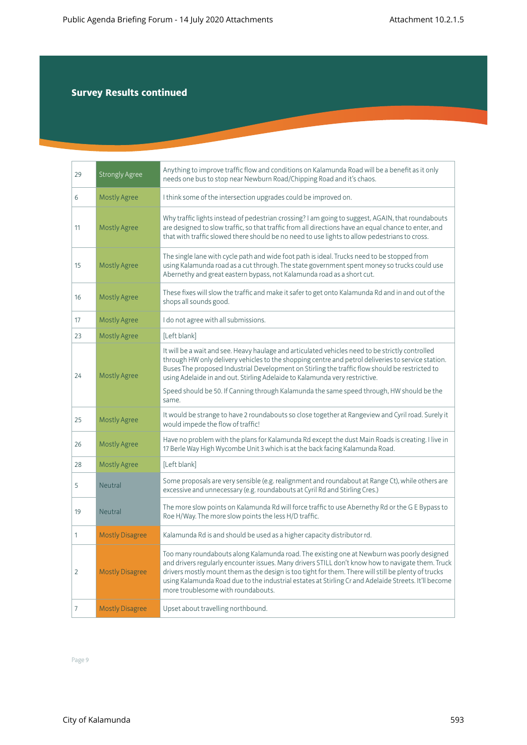| 29             | <b>Strongly Agree</b>  | Anything to improve traffic flow and conditions on Kalamunda Road will be a benefit as it only<br>needs one bus to stop near Newburn Road/Chipping Road and it's chaos.                                                                                                                                                                                                                                                                              |
|----------------|------------------------|------------------------------------------------------------------------------------------------------------------------------------------------------------------------------------------------------------------------------------------------------------------------------------------------------------------------------------------------------------------------------------------------------------------------------------------------------|
| 6              | <b>Mostly Agree</b>    | I think some of the intersection upgrades could be improved on.                                                                                                                                                                                                                                                                                                                                                                                      |
| 11             | <b>Mostly Agree</b>    | Why traffic lights instead of pedestrian crossing? I am going to suggest, AGAIN, that roundabouts<br>are designed to slow traffic, so that traffic from all directions have an equal chance to enter, and<br>that with traffic slowed there should be no need to use lights to allow pedestrians to cross.                                                                                                                                           |
| 15             | <b>Mostly Agree</b>    | The single lane with cycle path and wide foot path is ideal. Trucks need to be stopped from<br>using Kalamunda road as a cut through. The state government spent money so trucks could use<br>Abernethy and great eastern bypass, not Kalamunda road as a short cut.                                                                                                                                                                                 |
| 16             | <b>Mostly Agree</b>    | These fixes will slow the traffic and make it safer to get onto Kalamunda Rd and in and out of the<br>shops all sounds good.                                                                                                                                                                                                                                                                                                                         |
| 17             | <b>Mostly Agree</b>    | I do not agree with all submissions.                                                                                                                                                                                                                                                                                                                                                                                                                 |
| 23             | <b>Mostly Agree</b>    | [Left blank]                                                                                                                                                                                                                                                                                                                                                                                                                                         |
| 24             | <b>Mostly Agree</b>    | It will be a wait and see. Heavy haulage and articulated vehicles need to be strictly controlled<br>through HW only delivery vehicles to the shopping centre and petrol deliveries to service station.<br>Buses The proposed Industrial Development on Stirling the traffic flow should be restricted to<br>using Adelaide in and out. Stirling Adelaide to Kalamunda very restrictive.                                                              |
|                |                        | Speed should be 50. If Canning through Kalamunda the same speed through, HW should be the<br>same.                                                                                                                                                                                                                                                                                                                                                   |
| 25             | <b>Mostly Agree</b>    | It would be strange to have 2 roundabouts so close together at Rangeview and Cyril road. Surely it<br>would impede the flow of traffic!                                                                                                                                                                                                                                                                                                              |
| 26             | <b>Mostly Agree</b>    | Have no problem with the plans for Kalamunda Rd except the dust Main Roads is creating. I live in<br>17 Berle Way High Wycombe Unit 3 which is at the back facing Kalamunda Road.                                                                                                                                                                                                                                                                    |
| 28             | <b>Mostly Agree</b>    | [Left blank]                                                                                                                                                                                                                                                                                                                                                                                                                                         |
| 5              | <b>Neutral</b>         | Some proposals are very sensible (e.g. realignment and roundabout at Range Ct), while others are<br>excessive and unnecessary (e.g. roundabouts at Cyril Rd and Stirling Cres.)                                                                                                                                                                                                                                                                      |
| 19             | <b>Neutral</b>         | The more slow points on Kalamunda Rd will force traffic to use Abernethy Rd or the G E Bypass to<br>Roe H/Way. The more slow points the less H/D traffic.                                                                                                                                                                                                                                                                                            |
| 1              | <b>Mostly Disagree</b> | Kalamunda Rd is and should be used as a higher capacity distributor rd.                                                                                                                                                                                                                                                                                                                                                                              |
| $\overline{2}$ | <b>Mostly Disagree</b> | Too many roundabouts along Kalamunda road. The existing one at Newburn was poorly designed<br>and drivers regularly encounter issues. Many drivers STILL don't know how to navigate them. Truck<br>drivers mostly mount them as the design is too tight for them. There will still be plenty of trucks<br>using Kalamunda Road due to the industrial estates at Stirling Cr and Adelaide Streets. It'll become<br>more troublesome with roundabouts. |
| $\overline{7}$ | <b>Mostly Disagree</b> | Upset about travelling northbound.                                                                                                                                                                                                                                                                                                                                                                                                                   |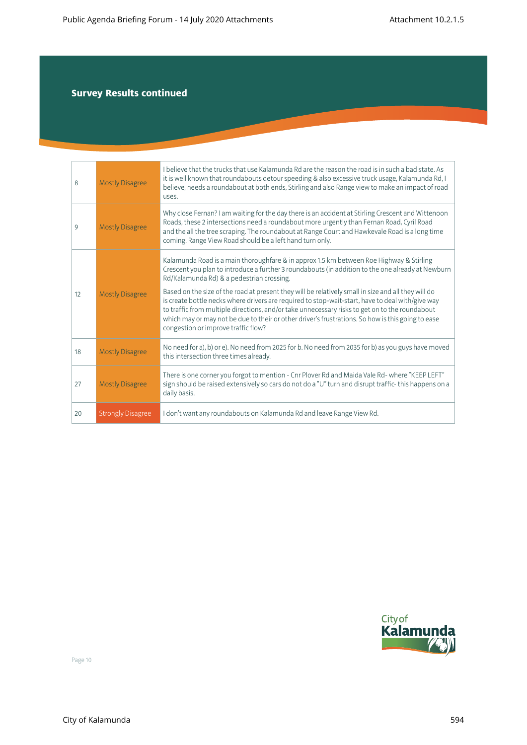| 8  | <b>Mostly Disagree</b>   | I believe that the trucks that use Kalamunda Rd are the reason the road is in such a bad state. As<br>it is well known that roundabouts detour speeding & also excessive truck usage, Kalamunda Rd, I<br>believe, needs a roundabout at both ends, Stirling and also Range view to make an impact of road<br>uses.                                                                                                                                                                                                                                                                                                                                                                                 |
|----|--------------------------|----------------------------------------------------------------------------------------------------------------------------------------------------------------------------------------------------------------------------------------------------------------------------------------------------------------------------------------------------------------------------------------------------------------------------------------------------------------------------------------------------------------------------------------------------------------------------------------------------------------------------------------------------------------------------------------------------|
| 9  | <b>Mostly Disagree</b>   | Why close Fernan? I am waiting for the day there is an accident at Stirling Crescent and Wittenoon<br>Roads, these 2 intersections need a roundabout more urgently than Fernan Road, Cyril Road<br>and the all the tree scraping. The roundabout at Range Court and Hawkevale Road is a long time<br>coming. Range View Road should be a left hand turn only.                                                                                                                                                                                                                                                                                                                                      |
| 12 | <b>Mostly Disagree</b>   | Kalamunda Road is a main thoroughfare & in approx 1.5 km between Roe Highway & Stirling<br>Crescent you plan to introduce a further 3 roundabouts (in addition to the one already at Newburn<br>Rd/Kalamunda Rd) & a pedestrian crossing.<br>Based on the size of the road at present they will be relatively small in size and all they will do<br>is create bottle necks where drivers are required to stop-wait-start, have to deal with/give way<br>to traffic from multiple directions, and/or take unnecessary risks to get on to the roundabout<br>which may or may not be due to their or other driver's frustrations. So how is this going to ease<br>congestion or improve traffic flow? |
| 18 | <b>Mostly Disagree</b>   | No need for a), b) or e). No need from 2025 for b. No need from 2035 for b) as you guys have moved<br>this intersection three times already.                                                                                                                                                                                                                                                                                                                                                                                                                                                                                                                                                       |
| 27 | <b>Mostly Disagree</b>   | There is one corner you forgot to mention - Cnr Plover Rd and Maida Vale Rd-where "KEEP LEFT"<br>sign should be raised extensively so cars do not do a "U" turn and disrupt traffic-this happens on a<br>daily basis.                                                                                                                                                                                                                                                                                                                                                                                                                                                                              |
| 20 | <b>Strongly Disagree</b> | I don't want any roundabouts on Kalamunda Rd and leave Range View Rd.                                                                                                                                                                                                                                                                                                                                                                                                                                                                                                                                                                                                                              |

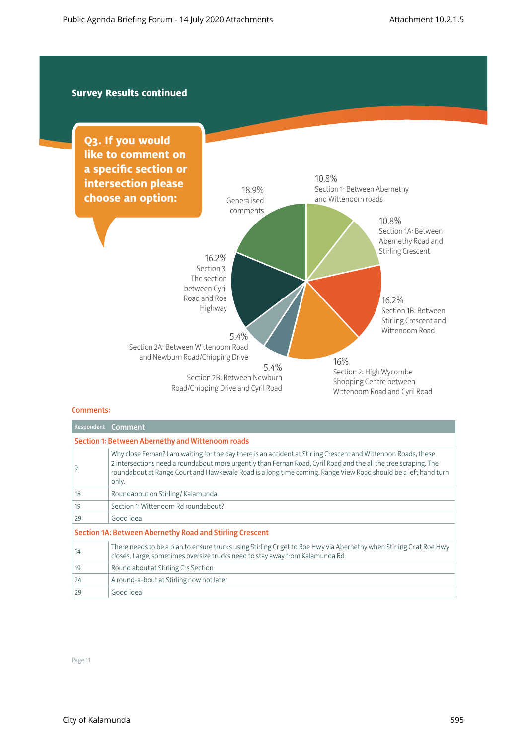

#### Comments:

|                                                                 | Respondent Comment                                                                                                                                                                                                                                                                                                                                            |  |  |
|-----------------------------------------------------------------|---------------------------------------------------------------------------------------------------------------------------------------------------------------------------------------------------------------------------------------------------------------------------------------------------------------------------------------------------------------|--|--|
| Section 1: Between Abernethy and Wittenoom roads                |                                                                                                                                                                                                                                                                                                                                                               |  |  |
| 9                                                               | Why close Fernan? I am waiting for the day there is an accident at Stirling Crescent and Wittenoon Roads, these<br>2 intersections need a roundabout more urgently than Fernan Road, Cyril Road and the all the tree scraping. The<br>roundabout at Range Court and Hawkevale Road is a long time coming. Range View Road should be a left hand turn<br>only. |  |  |
| 18                                                              | Roundabout on Stirling/Kalamunda                                                                                                                                                                                                                                                                                                                              |  |  |
| 19                                                              | Section 1: Wittenoom Rd roundabout?                                                                                                                                                                                                                                                                                                                           |  |  |
| 29                                                              | Good idea                                                                                                                                                                                                                                                                                                                                                     |  |  |
| <b>Section 1A: Between Abernethy Road and Stirling Crescent</b> |                                                                                                                                                                                                                                                                                                                                                               |  |  |
| 14                                                              | There needs to be a plan to ensure trucks using Stirling Cr get to Roe Hwy via Abernethy when Stirling Cr at Roe Hwy<br>closes. Large, sometimes oversize trucks need to stay away from Kalamunda Rd                                                                                                                                                          |  |  |
| 19                                                              | Round about at Stirling Crs Section                                                                                                                                                                                                                                                                                                                           |  |  |
| 24                                                              | A round-a-bout at Stirling now not later                                                                                                                                                                                                                                                                                                                      |  |  |
| 29                                                              | Good idea                                                                                                                                                                                                                                                                                                                                                     |  |  |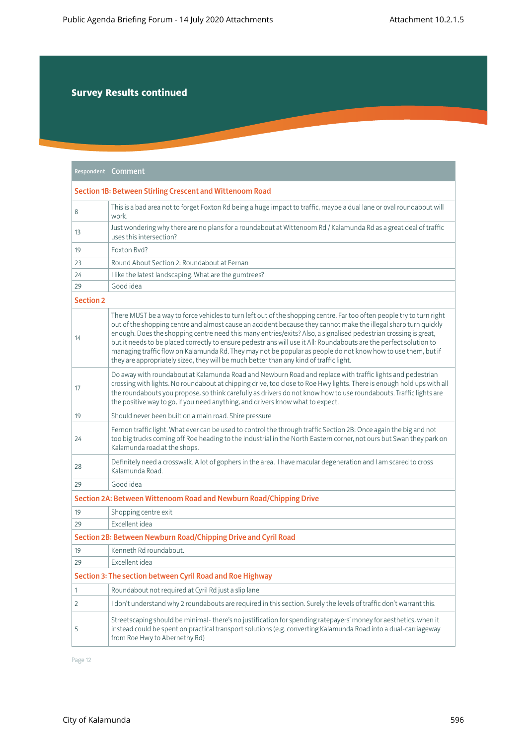|                                                                    | Respondent Comment                                                                                                                                                                                                                                                                                                                                                                                                                                                                                                                                                                                                                                                                          |  |  |
|--------------------------------------------------------------------|---------------------------------------------------------------------------------------------------------------------------------------------------------------------------------------------------------------------------------------------------------------------------------------------------------------------------------------------------------------------------------------------------------------------------------------------------------------------------------------------------------------------------------------------------------------------------------------------------------------------------------------------------------------------------------------------|--|--|
| Section 1B: Between Stirling Crescent and Wittenoom Road           |                                                                                                                                                                                                                                                                                                                                                                                                                                                                                                                                                                                                                                                                                             |  |  |
| 8                                                                  | This is a bad area not to forget Foxton Rd being a huge impact to traffic, maybe a dual lane or oval roundabout will<br>work.                                                                                                                                                                                                                                                                                                                                                                                                                                                                                                                                                               |  |  |
| 13                                                                 | Just wondering why there are no plans for a roundabout at Wittenoom Rd / Kalamunda Rd as a great deal of traffic<br>uses this intersection?                                                                                                                                                                                                                                                                                                                                                                                                                                                                                                                                                 |  |  |
| 19                                                                 | Foxton Byd?                                                                                                                                                                                                                                                                                                                                                                                                                                                                                                                                                                                                                                                                                 |  |  |
| 23                                                                 | Round About Section 2: Roundabout at Fernan                                                                                                                                                                                                                                                                                                                                                                                                                                                                                                                                                                                                                                                 |  |  |
| 24                                                                 | I like the latest landscaping. What are the gumtrees?                                                                                                                                                                                                                                                                                                                                                                                                                                                                                                                                                                                                                                       |  |  |
| 29                                                                 | Good idea                                                                                                                                                                                                                                                                                                                                                                                                                                                                                                                                                                                                                                                                                   |  |  |
| <b>Section 2</b>                                                   |                                                                                                                                                                                                                                                                                                                                                                                                                                                                                                                                                                                                                                                                                             |  |  |
| 14                                                                 | There MUST be a way to force vehicles to turn left out of the shopping centre. Far too often people try to turn right<br>out of the shopping centre and almost cause an accident because they cannot make the illegal sharp turn quickly<br>enough. Does the shopping centre need this many entries/exits? Also, a signalised pedestrian crossing is great,<br>but it needs to be placed correctly to ensure pedestrians will use it All: Roundabouts are the perfect solution to<br>managing traffic flow on Kalamunda Rd. They may not be popular as people do not know how to use them, but if<br>they are appropriately sized, they will be much better than any kind of traffic light. |  |  |
| 17                                                                 | Do away with roundabout at Kalamunda Road and Newburn Road and replace with traffic lights and pedestrian<br>crossing with lights. No roundabout at chipping drive, too close to Roe Hwy lights. There is enough hold ups with all<br>the roundabouts you propose, so think carefully as drivers do not know how to use roundabouts. Traffic lights are<br>the positive way to go, if you need anything, and drivers know what to expect.                                                                                                                                                                                                                                                   |  |  |
| 19                                                                 | Should never been built on a main road. Shire pressure                                                                                                                                                                                                                                                                                                                                                                                                                                                                                                                                                                                                                                      |  |  |
| 24                                                                 | Fernon traffic light. What ever can be used to control the through traffic Section 2B: Once again the big and not<br>too big trucks coming off Roe heading to the industrial in the North Eastern corner, not ours but Swan they park on<br>Kalamunda road at the shops.                                                                                                                                                                                                                                                                                                                                                                                                                    |  |  |
| 28                                                                 | Definitely need a crosswalk. A lot of gophers in the area. I have macular degeneration and I am scared to cross<br>Kalamunda Road.                                                                                                                                                                                                                                                                                                                                                                                                                                                                                                                                                          |  |  |
| 29                                                                 | Good idea                                                                                                                                                                                                                                                                                                                                                                                                                                                                                                                                                                                                                                                                                   |  |  |
| Section 2A: Between Wittenoom Road and Newburn Road/Chipping Drive |                                                                                                                                                                                                                                                                                                                                                                                                                                                                                                                                                                                                                                                                                             |  |  |
| 19                                                                 | Shopping centre exit                                                                                                                                                                                                                                                                                                                                                                                                                                                                                                                                                                                                                                                                        |  |  |
| 29                                                                 | Excellent idea                                                                                                                                                                                                                                                                                                                                                                                                                                                                                                                                                                                                                                                                              |  |  |
| Section 2B: Between Newburn Road/Chipping Drive and Cyril Road     |                                                                                                                                                                                                                                                                                                                                                                                                                                                                                                                                                                                                                                                                                             |  |  |
| 19                                                                 | Kenneth Rd roundabout                                                                                                                                                                                                                                                                                                                                                                                                                                                                                                                                                                                                                                                                       |  |  |
| 29                                                                 | Excellent idea                                                                                                                                                                                                                                                                                                                                                                                                                                                                                                                                                                                                                                                                              |  |  |
|                                                                    | Section 3: The section between Cyril Road and Roe Highway                                                                                                                                                                                                                                                                                                                                                                                                                                                                                                                                                                                                                                   |  |  |
| $\mathbf{1}$                                                       | Roundabout not required at Cyril Rd just a slip lane                                                                                                                                                                                                                                                                                                                                                                                                                                                                                                                                                                                                                                        |  |  |
| 2                                                                  | I don't understand why 2 roundabouts are required in this section. Surely the levels of traffic don't warrant this.                                                                                                                                                                                                                                                                                                                                                                                                                                                                                                                                                                         |  |  |
| 5                                                                  | Streetscaping should be minimal-there's no justification for spending ratepayers' money for aesthetics, when it<br>instead could be spent on practical transport solutions (e.g. converting Kalamunda Road into a dual-carriageway<br>from Roe Hwy to Abernethy Rd)                                                                                                                                                                                                                                                                                                                                                                                                                         |  |  |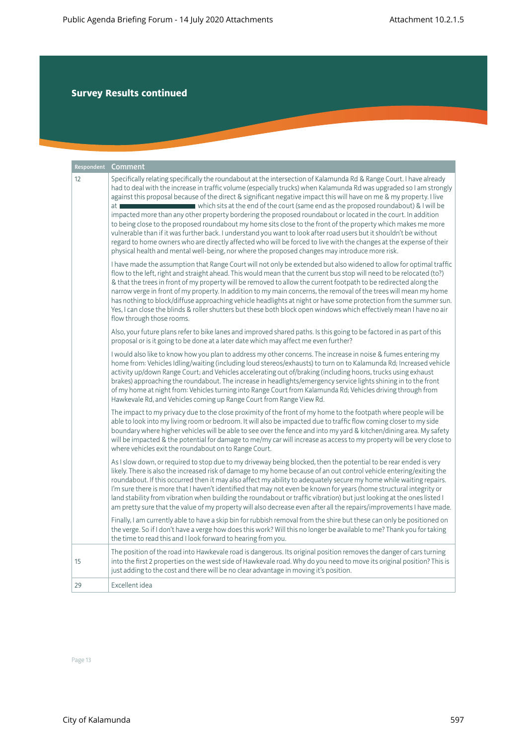| Respondent | Comment                                                                                                                                                                                                                                                                                                                                                                                                                                                                                                                                                                                                                                                                                                                                                                                                                                                                                                                                                                                                                                            |
|------------|----------------------------------------------------------------------------------------------------------------------------------------------------------------------------------------------------------------------------------------------------------------------------------------------------------------------------------------------------------------------------------------------------------------------------------------------------------------------------------------------------------------------------------------------------------------------------------------------------------------------------------------------------------------------------------------------------------------------------------------------------------------------------------------------------------------------------------------------------------------------------------------------------------------------------------------------------------------------------------------------------------------------------------------------------|
| 12         | Specifically relating specifically the roundabout at the intersection of Kalamunda Rd & Range Court. I have already<br>had to deal with the increase in traffic volume (especially trucks) when Kalamunda Rd was upgraded so I am strongly<br>against this proposal because of the direct & significant negative impact this will have on me & my property. I live<br>which sits at the end of the court (same end as the proposed roundabout) & I will be<br>at I<br>impacted more than any other property bordering the proposed roundabout or located in the court. In addition<br>to being close to the proposed roundabout my home sits close to the front of the property which makes me more<br>vulnerable than if it was further back. I understand you want to look after road users but it shouldn't be without<br>regard to home owners who are directly affected who will be forced to live with the changes at the expense of their<br>physical health and mental well-being, nor where the proposed changes may introduce more risk. |
|            | I have made the assumption that Range Court will not only be extended but also widened to allow for optimal traffic<br>flow to the left, right and straight ahead. This would mean that the current bus stop will need to be relocated (to?)<br>& that the trees in front of my property will be removed to allow the current footpath to be redirected along the<br>narrow verge in front of my property. In addition to my main concerns, the removal of the trees will mean my home<br>has nothing to block/diffuse approaching vehicle headlights at night or have some protection from the summer sun.<br>Yes, I can close the blinds & roller shutters but these both block open windows which effectively mean I have no air<br>flow through those rooms.                                                                                                                                                                                                                                                                                   |
|            | Also, your future plans refer to bike lanes and improved shared paths. Is this going to be factored in as part of this<br>proposal or is it going to be done at a later date which may affect me even further?                                                                                                                                                                                                                                                                                                                                                                                                                                                                                                                                                                                                                                                                                                                                                                                                                                     |
|            | I would also like to know how you plan to address my other concerns. The increase in noise & fumes entering my<br>home from: Vehicles Idling/waiting (including loud stereos/exhausts) to turn on to Kalamunda Rd; Increased vehicle<br>activity up/down Range Court; and Vehicles accelerating out of/braking (including hoons, trucks using exhaust<br>brakes) approaching the roundabout. The increase in headlights/emergency service lights shining in to the front<br>of my home at night from: Vehicles turning into Range Court from Kalamunda Rd; Vehicles driving through from<br>Hawkevale Rd, and Vehicles coming up Range Court from Range View Rd.                                                                                                                                                                                                                                                                                                                                                                                   |
|            | The impact to my privacy due to the close proximity of the front of my home to the footpath where people will be<br>able to look into my living room or bedroom. It will also be impacted due to traffic flow coming closer to my side<br>boundary where higher vehicles will be able to see over the fence and into my yard & kitchen/dining area. My safety<br>will be impacted & the potential for damage to me/my car will increase as access to my property will be very close to<br>where vehicles exit the roundabout on to Range Court.                                                                                                                                                                                                                                                                                                                                                                                                                                                                                                    |
|            | As I slow down, or required to stop due to my driveway being blocked, then the potential to be rear ended is very<br>likely. There is also the increased risk of damage to my home because of an out control vehicle entering/exiting the<br>roundabout. If this occurred then it may also affect my ability to adequately secure my home while waiting repairs.<br>I'm sure there is more that I haven't identified that may not even be known for years (home structural integrity or<br>land stability from vibration when building the roundabout or traffic vibration) but just looking at the ones listed I<br>am pretty sure that the value of my property will also decrease even after all the repairs/improvements I have made.                                                                                                                                                                                                                                                                                                          |
|            | Finally, I am currently able to have a skip bin for rubbish removal from the shire but these can only be positioned on<br>the verge. So if I don't have a verge how does this work? Will this no longer be available to me? Thank you for taking<br>the time to read this and I look forward to hearing from you.                                                                                                                                                                                                                                                                                                                                                                                                                                                                                                                                                                                                                                                                                                                                  |
| 15         | The position of the road into Hawkevale road is dangerous. Its original position removes the danger of cars turning<br>into the first 2 properties on the west side of Hawkevale road. Why do you need to move its original position? This is<br>just adding to the cost and there will be no clear advantage in moving it's position.                                                                                                                                                                                                                                                                                                                                                                                                                                                                                                                                                                                                                                                                                                             |
| 29         | Excellent idea                                                                                                                                                                                                                                                                                                                                                                                                                                                                                                                                                                                                                                                                                                                                                                                                                                                                                                                                                                                                                                     |